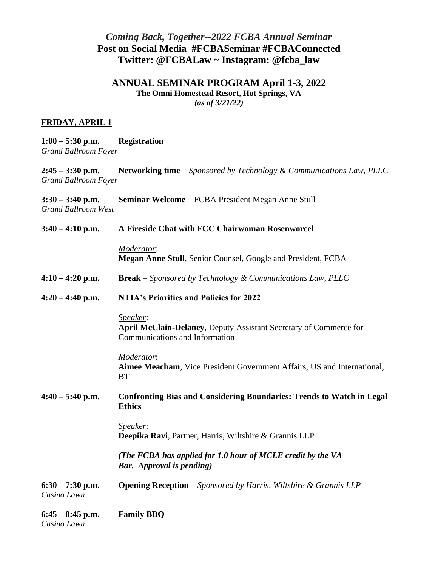# *Coming Back, Together--2022 FCBA Annual Seminar*  **Post on Social Media #FCBASeminar #FCBAConnected Twitter: @FCBALaw ~ Instagram: @fcba\_law**

## **ANNUAL SEMINAR PROGRAM April 1-3, 2022 The Omni Homestead Resort, Hot Springs, VA**

*(as of 3/21/22)*

## **FRIDAY, APRIL 1**

| $1:00 - 5:30$ p.m.   | <b>Registration</b> |
|----------------------|---------------------|
| Grand Ballroom Foyer |                     |

**2:45 – 3:30 p.m. Networking time** – *Sponsored by Technology & Communications Law, PLLC Grand Ballroom Foyer*

**3:30 – 3:40 p.m. Seminar Welcome** – FCBA President Megan Anne Stull *Grand Ballroom West*

| $3:40 - 4:10$ p.m.                | A Fireside Chat with FCC Chairwoman Rosenworcel                                                                 |
|-----------------------------------|-----------------------------------------------------------------------------------------------------------------|
|                                   | Moderator:<br>Megan Anne Stull, Senior Counsel, Google and President, FCBA                                      |
| $4:10 - 4:20$ p.m.                | <b>Break</b> – Sponsored by Technology & Communications Law, PLLC                                               |
| $4:20 - 4:40$ p.m.                | <b>NTIA's Priorities and Policies for 2022</b>                                                                  |
|                                   | Speaker:<br>April McClain-Delaney, Deputy Assistant Secretary of Commerce for<br>Communications and Information |
|                                   | Moderator:<br>Aimee Meacham, Vice President Government Affairs, US and International,<br><b>BT</b>              |
| $4:40 - 5:40$ p.m.                | <b>Confronting Bias and Considering Boundaries: Trends to Watch in Legal</b><br><b>Ethics</b>                   |
|                                   | Speaker:<br>Deepika Ravi, Partner, Harris, Wiltshire & Grannis LLP                                              |
|                                   | (The FCBA has applied for 1.0 hour of MCLE credit by the VA<br><b>Bar.</b> Approval is pending)                 |
| $6:30 - 7:30$ p.m.<br>Casino Lawn | <b>Opening Reception</b> – Sponsored by Harris, Wiltshire & Grannis LLP                                         |
| $6:45 - 8:45$ p.m.<br>Casino Lawn | <b>Family BBQ</b>                                                                                               |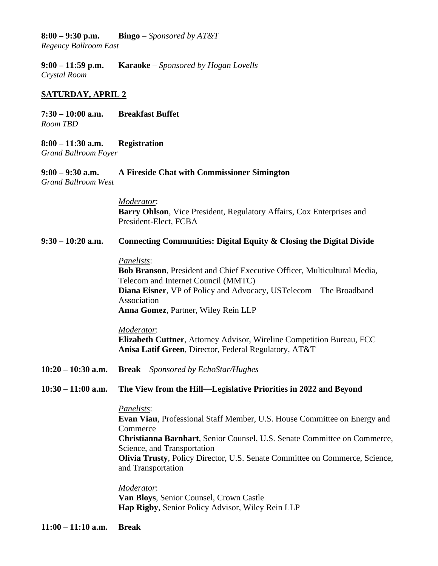# **8:00 – 9:30 p.m. Bingo** – *Sponsored by AT&T*

*Regency Ballroom East*

**9:00 – 11:59 p.m. Karaoke** – *Sponsored by Hogan Lovells Crystal Room*

### **SATURDAY, APRIL 2**

**7:30 – 10:00 a.m. Breakfast Buffet** *Room TBD*

**8:00 – 11:30 a.m. Registration** *Grand Ballroom Foyer*

**9:00 – 9:30 a.m. A Fireside Chat with Commissioner Simington**  *Grand Ballroom West*

> *Moderator*: **Barry Ohlson**, Vice President, Regulatory Affairs, Cox Enterprises and President-Elect, FCBA

**9:30 – 10:20 a.m. Connecting Communities: Digital Equity & Closing the Digital Divide** 

#### *Panelists*:

**Bob Branson**, President and Chief Executive Officer, Multicultural Media, Telecom and Internet Council (MMTC) **Diana Eisner**, VP of Policy and Advocacy, USTelecom – The Broadband Association **Anna Gomez**, Partner, Wiley Rein LLP

### *Moderator*: **Elizabeth Cuttner**, Attorney Advisor, Wireline Competition Bureau, FCC **Anisa Latif Green**, Director, Federal Regulatory, AT&T

**10:20 – 10:30 a.m. Break** – *Sponsored by EchoStar/Hughes*

#### **10:30 – 11:00 a.m. The View from the Hill—Legislative Priorities in 2022 and Beyond**

#### *Panelists*:

**Evan Viau**, Professional Staff Member, U.S. House Committee on Energy and Commerce **Christianna Barnhart**, Senior Counsel, U.S. Senate Committee on Commerce, Science, and Transportation **Olivia Trusty**, Policy Director, U.S. Senate Committee on Commerce, Science, and Transportation

*Moderator*: **Van Bloys**, Senior Counsel, Crown Castle **Hap Rigby**, Senior Policy Advisor, Wiley Rein LLP

**11:00 – 11:10 a.m. Break**